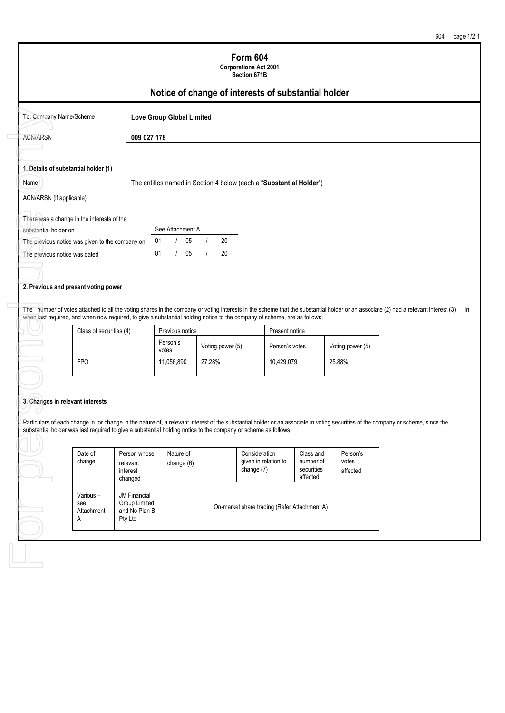|                                      |                                 |                                                                                                                                                                  |                                                                                                         | Section 671B<br>Notice of change of interests of substantial holder                             |                                                  |                                                                                                                                                                                                                                                                                                                                                                      |                                                                                                                                                                                                                                                                                                                                                                                                       |
|--------------------------------------|---------------------------------|------------------------------------------------------------------------------------------------------------------------------------------------------------------|---------------------------------------------------------------------------------------------------------|-------------------------------------------------------------------------------------------------|--------------------------------------------------|----------------------------------------------------------------------------------------------------------------------------------------------------------------------------------------------------------------------------------------------------------------------------------------------------------------------------------------------------------------------|-------------------------------------------------------------------------------------------------------------------------------------------------------------------------------------------------------------------------------------------------------------------------------------------------------------------------------------------------------------------------------------------------------|
|                                      |                                 |                                                                                                                                                                  |                                                                                                         |                                                                                                 |                                                  |                                                                                                                                                                                                                                                                                                                                                                      |                                                                                                                                                                                                                                                                                                                                                                                                       |
|                                      |                                 |                                                                                                                                                                  |                                                                                                         |                                                                                                 |                                                  |                                                                                                                                                                                                                                                                                                                                                                      |                                                                                                                                                                                                                                                                                                                                                                                                       |
|                                      |                                 |                                                                                                                                                                  |                                                                                                         |                                                                                                 |                                                  |                                                                                                                                                                                                                                                                                                                                                                      |                                                                                                                                                                                                                                                                                                                                                                                                       |
| 1. Details of substantial holder (1) |                                 |                                                                                                                                                                  |                                                                                                         |                                                                                                 |                                                  |                                                                                                                                                                                                                                                                                                                                                                      |                                                                                                                                                                                                                                                                                                                                                                                                       |
|                                      |                                 |                                                                                                                                                                  |                                                                                                         |                                                                                                 |                                                  |                                                                                                                                                                                                                                                                                                                                                                      |                                                                                                                                                                                                                                                                                                                                                                                                       |
| ACN/ARSN (if applicable)             |                                 |                                                                                                                                                                  |                                                                                                         |                                                                                                 |                                                  |                                                                                                                                                                                                                                                                                                                                                                      |                                                                                                                                                                                                                                                                                                                                                                                                       |
|                                      |                                 |                                                                                                                                                                  |                                                                                                         |                                                                                                 |                                                  |                                                                                                                                                                                                                                                                                                                                                                      |                                                                                                                                                                                                                                                                                                                                                                                                       |
| substantial holder on                |                                 |                                                                                                                                                                  |                                                                                                         |                                                                                                 |                                                  |                                                                                                                                                                                                                                                                                                                                                                      |                                                                                                                                                                                                                                                                                                                                                                                                       |
|                                      |                                 |                                                                                                                                                                  |                                                                                                         |                                                                                                 |                                                  |                                                                                                                                                                                                                                                                                                                                                                      |                                                                                                                                                                                                                                                                                                                                                                                                       |
| The previous notice was dated        |                                 |                                                                                                                                                                  |                                                                                                         |                                                                                                 |                                                  |                                                                                                                                                                                                                                                                                                                                                                      |                                                                                                                                                                                                                                                                                                                                                                                                       |
|                                      |                                 |                                                                                                                                                                  |                                                                                                         |                                                                                                 |                                                  |                                                                                                                                                                                                                                                                                                                                                                      |                                                                                                                                                                                                                                                                                                                                                                                                       |
|                                      |                                 |                                                                                                                                                                  |                                                                                                         |                                                                                                 |                                                  |                                                                                                                                                                                                                                                                                                                                                                      |                                                                                                                                                                                                                                                                                                                                                                                                       |
|                                      |                                 | votes                                                                                                                                                            |                                                                                                         |                                                                                                 |                                                  |                                                                                                                                                                                                                                                                                                                                                                      |                                                                                                                                                                                                                                                                                                                                                                                                       |
| <b>FPO</b>                           |                                 | 11,056,890                                                                                                                                                       | 27.28%                                                                                                  |                                                                                                 |                                                  |                                                                                                                                                                                                                                                                                                                                                                      |                                                                                                                                                                                                                                                                                                                                                                                                       |
| 3. Changes in relevant interests     |                                 |                                                                                                                                                                  |                                                                                                         |                                                                                                 |                                                  |                                                                                                                                                                                                                                                                                                                                                                      |                                                                                                                                                                                                                                                                                                                                                                                                       |
| Date of<br>change                    | relevant<br>interest<br>changed | Nature of<br>change (6)                                                                                                                                          |                                                                                                         | Consideration<br>given in relation to<br>change (7)                                             | Class and<br>number of<br>securities<br>affected | Person's<br>votes<br>affected                                                                                                                                                                                                                                                                                                                                        |                                                                                                                                                                                                                                                                                                                                                                                                       |
| Various-                             | <b>JM Financial</b>             | Group Limited                                                                                                                                                    | On-market share trading (Refer Attachment A)                                                            |                                                                                                 |                                                  |                                                                                                                                                                                                                                                                                                                                                                      |                                                                                                                                                                                                                                                                                                                                                                                                       |
|                                      | To: Company Name/Scheme         | There was a change in the interests of the<br>The previous notice was given to the company on<br>2. Previous and present voting power<br>Class of securities (4) | 009 027 178<br>05<br>01<br>$\left  \right $<br>05<br>01<br>$\left  \right $<br>Person's<br>Person whose | <b>Love Group Global Limited</b><br>See Attachment A<br>20<br>$\prime$<br>20<br>Previous notice | Voting power (5)                                 | The entities named in Section 4 below (each a "Substantial Holder")<br>when last required, and when now required, to give a substantial holding notice to the company of scheme, are as follows:<br>Present notice<br>Person's votes<br>10,429,079<br>substantial holder was last required to give a substantial holding notice to the company or scheme as follows: | The number of votes attached to all the voting shares in the company or voting interests in the scheme that the substantial holder or an associate (2) had a relevant interest (3)<br>Voting power (5)<br>25.88%<br>Particulars of each change in, or change in the nature of, a relevant interest of the substantial holder or an associate in voting securities of the company or scheme, since the |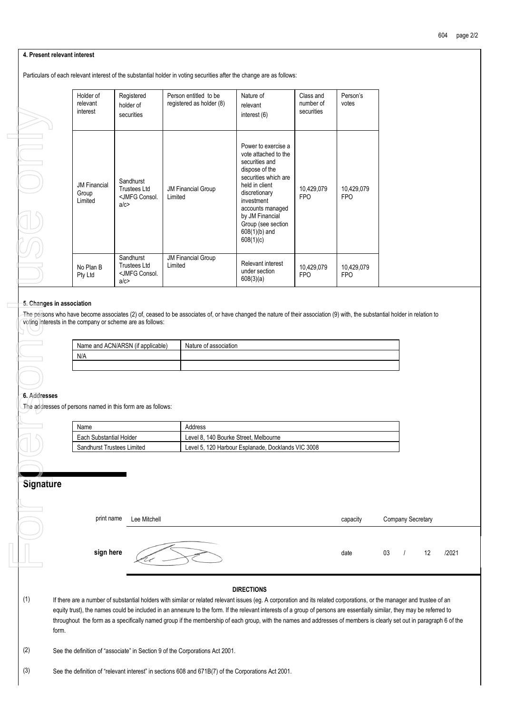### **4. Present relevant interest**

Particulars of each relevant interest of the substantial holder in voting securities after the change are as follows:

|                           |       | Holder of<br>relevant<br>interest       | Registered<br>holder of<br>securities                              |         | Person entitled to be<br>registered as holder (8)                            | Nature of<br>relevant<br>interest (6)                                                                                                                                                                                                                                                                                                                                                                                                                                    | Class and<br>number of<br>securities | Person's<br>votes        |      |
|---------------------------|-------|-----------------------------------------|--------------------------------------------------------------------|---------|------------------------------------------------------------------------------|--------------------------------------------------------------------------------------------------------------------------------------------------------------------------------------------------------------------------------------------------------------------------------------------------------------------------------------------------------------------------------------------------------------------------------------------------------------------------|--------------------------------------|--------------------------|------|
|                           |       | <b>JM Financial</b><br>Group<br>Limited | Sandhurst<br><b>Trustees Ltd</b><br><jmfg consol.<br="">a/c</jmfg> | Limited | <b>JM Financial Group</b>                                                    | Power to exercise a<br>vote attached to the<br>securities and<br>dispose of the<br>securities which are<br>held in client<br>discretionary<br>investment<br>accounts managed<br>by JM Financial<br>Group (see section<br>$608(1)(b)$ and<br>608(1)(c)                                                                                                                                                                                                                    | 10,429,079<br><b>FPO</b>             | 10,429,079<br><b>FPO</b> |      |
|                           |       | No Plan B<br>Pty Ltd                    | Sandhurst<br><b>Trustees Ltd</b><br><jmfg consol.<br="">a/c</jmfg> | Limited | <b>JM Financial Group</b>                                                    | Relevant interest<br>under section<br>608(3)(a)                                                                                                                                                                                                                                                                                                                                                                                                                          | 10,429,079<br><b>FPO</b>             | 10,429,079<br><b>FPO</b> |      |
| 5. Changes in association |       |                                         | voting interests in the company or scheme are as follows:          |         |                                                                              | The persons who have become associates (2) of, ceased to be associates of, or have changed the nature of their association (9) with, the substantial hol                                                                                                                                                                                                                                                                                                                 |                                      |                          |      |
|                           |       |                                         | Name and ACN/ARSN (if applicable)                                  |         | Nature of association                                                        |                                                                                                                                                                                                                                                                                                                                                                                                                                                                          |                                      |                          |      |
|                           |       | N/A                                     |                                                                    |         |                                                                              |                                                                                                                                                                                                                                                                                                                                                                                                                                                                          |                                      |                          |      |
|                           |       |                                         |                                                                    |         |                                                                              |                                                                                                                                                                                                                                                                                                                                                                                                                                                                          |                                      |                          |      |
|                           |       |                                         |                                                                    |         |                                                                              |                                                                                                                                                                                                                                                                                                                                                                                                                                                                          |                                      |                          |      |
|                           |       |                                         |                                                                    |         |                                                                              |                                                                                                                                                                                                                                                                                                                                                                                                                                                                          |                                      |                          |      |
| 6. Addresses              |       |                                         |                                                                    |         |                                                                              |                                                                                                                                                                                                                                                                                                                                                                                                                                                                          |                                      |                          |      |
|                           |       |                                         | The addresses of persons named in this form are as follows:        |         |                                                                              |                                                                                                                                                                                                                                                                                                                                                                                                                                                                          |                                      |                          |      |
|                           |       | Name                                    |                                                                    |         | Address                                                                      |                                                                                                                                                                                                                                                                                                                                                                                                                                                                          |                                      |                          |      |
|                           |       | Each Substantial Holder                 |                                                                    |         | Level 8, 140 Bourke Street, Melbourne                                        |                                                                                                                                                                                                                                                                                                                                                                                                                                                                          |                                      |                          |      |
|                           |       | Sandhurst Trustees Limited              |                                                                    |         |                                                                              | Level 5, 120 Harbour Esplanade, Docklands VIC 3008                                                                                                                                                                                                                                                                                                                                                                                                                       |                                      |                          |      |
|                           |       |                                         |                                                                    |         |                                                                              |                                                                                                                                                                                                                                                                                                                                                                                                                                                                          |                                      |                          |      |
|                           |       |                                         |                                                                    |         |                                                                              |                                                                                                                                                                                                                                                                                                                                                                                                                                                                          |                                      |                          |      |
| Signature                 |       |                                         |                                                                    |         |                                                                              |                                                                                                                                                                                                                                                                                                                                                                                                                                                                          |                                      |                          |      |
|                           |       |                                         |                                                                    |         |                                                                              |                                                                                                                                                                                                                                                                                                                                                                                                                                                                          |                                      |                          |      |
|                           |       |                                         |                                                                    |         |                                                                              |                                                                                                                                                                                                                                                                                                                                                                                                                                                                          |                                      |                          |      |
|                           |       | print name                              | Lee Mitchell                                                       |         |                                                                              |                                                                                                                                                                                                                                                                                                                                                                                                                                                                          |                                      | capacity                 | Comp |
|                           |       |                                         |                                                                    |         |                                                                              |                                                                                                                                                                                                                                                                                                                                                                                                                                                                          |                                      |                          |      |
|                           |       |                                         |                                                                    |         |                                                                              |                                                                                                                                                                                                                                                                                                                                                                                                                                                                          |                                      |                          |      |
|                           |       | sign here                               |                                                                    |         |                                                                              |                                                                                                                                                                                                                                                                                                                                                                                                                                                                          |                                      | date                     | 03   |
|                           |       |                                         |                                                                    |         |                                                                              |                                                                                                                                                                                                                                                                                                                                                                                                                                                                          |                                      |                          |      |
| (1)                       | form. |                                         |                                                                    |         |                                                                              | <b>DIRECTIONS</b><br>If there are a number of substantial holders with similar or related relevant issues (eg. A corporation and its related corporations, or the mana<br>equity trust), the names could be included in an annexure to the form. If the relevant interests of a group of persons are essentially similar, th<br>throughout the form as a specifically named group if the membership of each group, with the names and addresses of members is clearly se |                                      |                          |      |
| (2)                       |       |                                         |                                                                    |         | See the definition of "associate" in Section 9 of the Corporations Act 2001. |                                                                                                                                                                                                                                                                                                                                                                                                                                                                          |                                      |                          |      |
| (3)                       |       |                                         |                                                                    |         |                                                                              | See the definition of "relevant interest" in sections 608 and 671B(7) of the Corporations Act 2001.                                                                                                                                                                                                                                                                                                                                                                      |                                      |                          |      |

### **5. Changes in association**

The persons who have become associates (2) of, ceased to be associates of, or have changed the nature of their association (9) with, the substantial holder in relation to voting interests in the company or scheme are as follows:

| Name and ACN/ARSN (if applicable) | Nature of association |
|-----------------------------------|-----------------------|
| N/A                               |                       |
|                                   |                       |

### **6. Addresses**

| Name                              | Address                                            |
|-----------------------------------|----------------------------------------------------|
| Each Substantial Holder           | Level 8, 140 Bourke Street, Melbourne              |
| <b>Sandhurst Trustees Limited</b> | Level 5, 120 Harbour Esplanade, Docklands VIC 3008 |

## **Signature**

| print name | Lee Mitchell | capacity |    | Company Secretary |    |       |
|------------|--------------|----------|----|-------------------|----|-------|
| sign here  |              | date     | 03 |                   | 12 | /2021 |
|            |              |          |    |                   |    |       |

### **DIRECTIONS**

(1) If there are a number of substantial holders with similar or related relevant issues (eg. A corporation and its related corporations, or the manager and trustee of an equity trust), the names could be included in an annexure to the form. If the relevant interests of a group of persons are essentially similar, they may be referred to throughout the form as a specifically named group if the membership of each group, with the names and addresses of members is clearly set out in paragraph 6 of the form.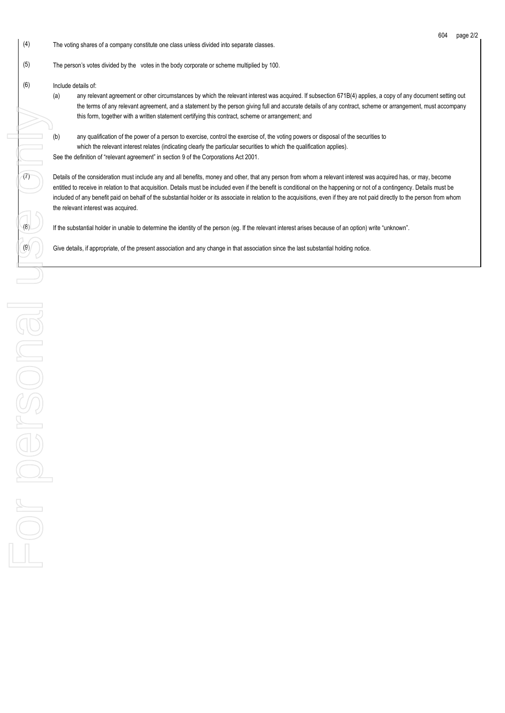- (4) The voting shares of a company constitute one class unless divided into separate classes.
- (5) The person's votes divided by the votes in the body corporate or scheme multiplied by 100.
- (6) Include details of:
	- (a) any relevant agreement or other circumstances by which the relevant interest was acquired. If subsection 671B(4) applies, a copy of any document setting out the terms of any relevant agreement, and a statement by the person giving full and accurate details of any contract, scheme or arrangement, must accompany this form, together with a written statement certifying this contract, scheme or arrangement; and
	- (b) any qualification of the power of a person to exercise, control the exercise of, the voting powers or disposal of the securities to which the relevant interest relates (indicating clearly the particular securities to which the qualification applies). See the definition of "relevant agreement" in section 9 of the Corporations Act 2001.

(7) Details of the consideration must include any and all benefits, money and other, that any person from whom a relevant interest was acquired has, or may, become entitled to receive in relation to that acquisition. Details must be included even if the benefit is conditional on the happening or not of a contingency. Details must be included of any benefit paid on behalf of the substantial holder or its associate in relation to the acquisitions, even if they are not paid directly to the person from whom the relevant interest was acquired.

 $\langle 8 \rangle$  If the substantial holder in unable to determine the identity of the person (eq. If the relevant interest arises because of an option) write "unknown".